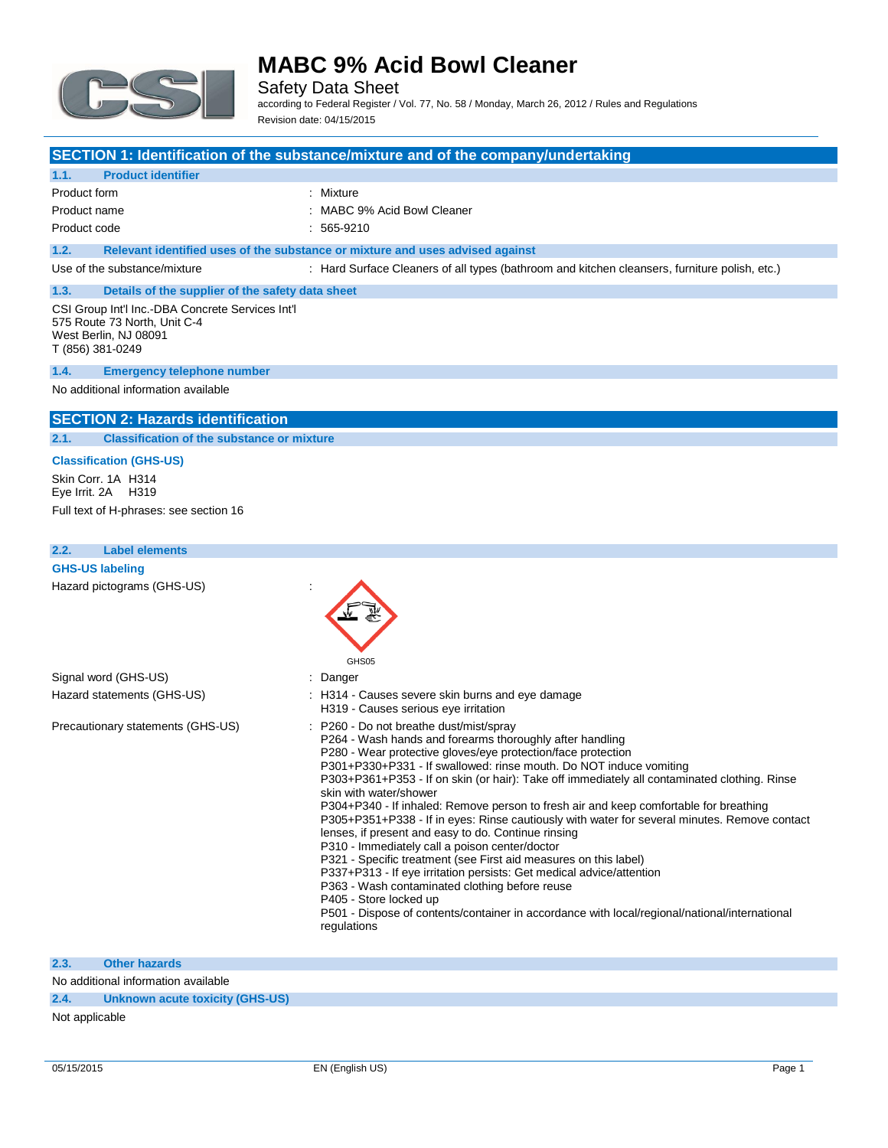

Safety Data Sheet according to Federal Register / Vol. 77, No. 58 / Monday, March 26, 2012 / Rules and Regulations Revision date: 04/15/2015

### **SECTION 1: Identification of the substance/mixture and of the company/undertaking**

#### **1.1. Product identifier**

Product form **: Mixture** 

Product name  $\qquad \qquad$ : MABC 9% Acid Bowl Cleaner Product code : 565-9210

### **1.2. Relevant identified uses of the substance or mixture and uses advised against**

Use of the substance/mixture : Hard Surface Cleaners of all types (bathroom and kitchen cleansers, furniture polish, etc.)

### **1.3. Details of the supplier of the safety data sheet** CSI Group Int'l Inc.-DBA Concrete Services Int'l

575 Route 73 North, Unit C-4 West Berlin, NJ 08091 T (856) 381-0249

#### **1.4. Emergency telephone number**

No additional information available

### **SECTION 2: Hazards identification**

**2.1. Classification of the substance or mixture**

#### **Classification (GHS-US)**

Skin Corr. 1A H314 Eye Irrit. 2A H319 Full text of H-phrases: see section 16

#### **2.2. Label elements**

**GHS-US labeling** Hazard pictograms (GHS-US) :



### **2.3. Other hazards**

No additional information available

#### **2.4. Unknown acute toxicity (GHS-US)**

Not applicable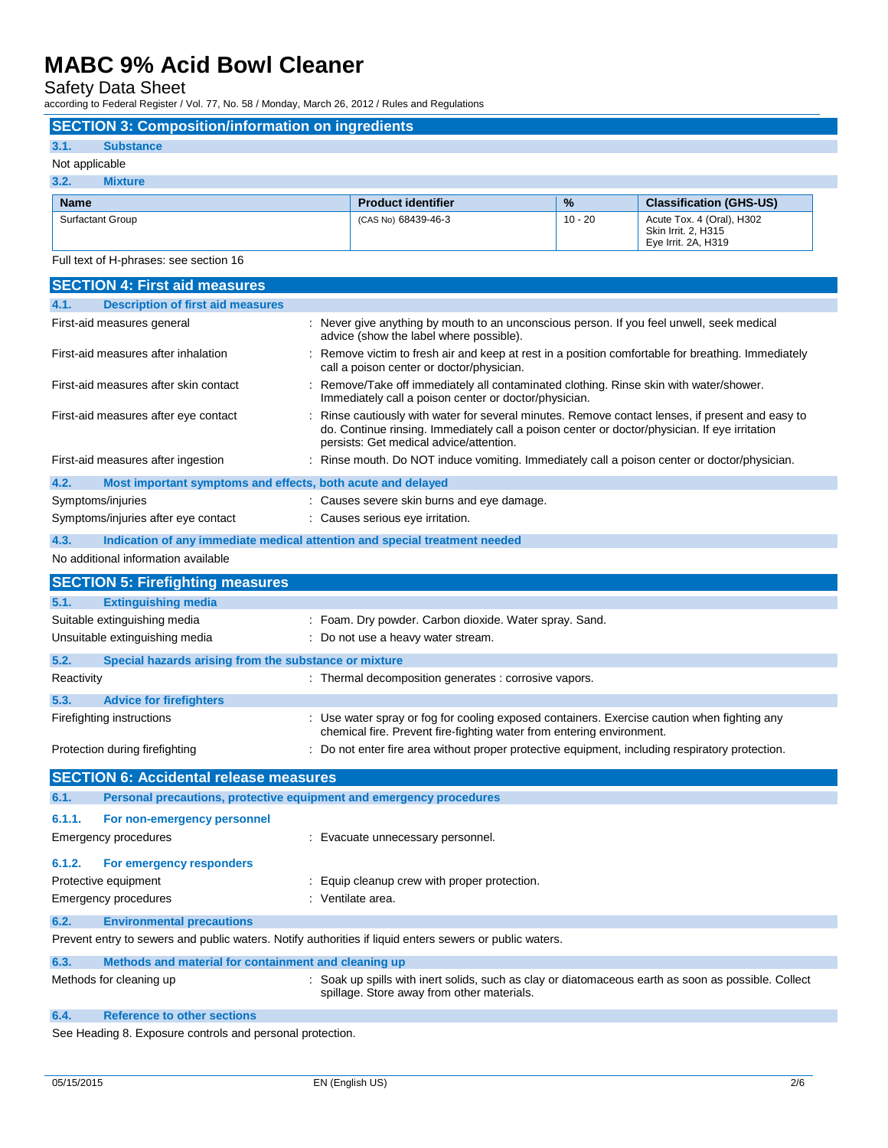Safety Data Sheet

according to Federal Register / Vol. 77, No. 58 / Monday, March 26, 2012 / Rules and Regulations

## **SECTION 3: Composition/information on ingredients 3.1. Substance** Not applicable **3.2. Mixture Name Product identifier 1989 12 Classification (GHS-US) Product identifier 1989 12 Classification (GHS-US)** Surfactant Group **Example 20** 10 - 20 Acute Tox. 4 (Oral), H302 Skin Irrit. 2, H315

Full text of H-phrases: see section 16

|                                       | <b>SECTION 4: First aid measures</b>                        |                                                                                                                                                                                                                                            |
|---------------------------------------|-------------------------------------------------------------|--------------------------------------------------------------------------------------------------------------------------------------------------------------------------------------------------------------------------------------------|
| 4.1.                                  | <b>Description of first aid measures</b>                    |                                                                                                                                                                                                                                            |
| First-aid measures general            |                                                             | : Never give anything by mouth to an unconscious person. If you feel unwell, seek medical<br>advice (show the label where possible).                                                                                                       |
| First-aid measures after inhalation   |                                                             | : Remove victim to fresh air and keep at rest in a position comfortable for breathing. Immediately<br>call a poison center or doctor/physician.                                                                                            |
| First-aid measures after skin contact |                                                             | Remove/Take off immediately all contaminated clothing. Rinse skin with water/shower.<br>Immediately call a poison center or doctor/physician.                                                                                              |
| First-aid measures after eye contact  |                                                             | Rinse cautiously with water for several minutes. Remove contact lenses, if present and easy to<br>do. Continue rinsing. Immediately call a poison center or doctor/physician. If eye irritation<br>persists: Get medical advice/attention. |
| First-aid measures after ingestion    |                                                             | : Rinse mouth. Do NOT induce vomiting. Immediately call a poison center or doctor/physician.                                                                                                                                               |
| 4.2.                                  | Most important symptoms and effects, both acute and delayed |                                                                                                                                                                                                                                            |
| Symptoms/injuries                     |                                                             | : Causes severe skin burns and eye damage.                                                                                                                                                                                                 |
| Symptoms/injuries after eye contact   |                                                             | : Causes serious eye irritation.                                                                                                                                                                                                           |
| 4.3.                                  |                                                             | Indication of any immediate medical attention and special treatment needed                                                                                                                                                                 |
| No additional information available   |                                                             |                                                                                                                                                                                                                                            |
|                                       | <b>SECTION 5: Firefighting measures</b>                     |                                                                                                                                                                                                                                            |
| 5.1.                                  | <b>Extinguishing media</b>                                  |                                                                                                                                                                                                                                            |
| Suitable extinguishing media          |                                                             | : Foam. Dry powder. Carbon dioxide. Water spray. Sand.                                                                                                                                                                                     |
| Unsuitable extinguishing media        |                                                             | : Do not use a heavy water stream.                                                                                                                                                                                                         |
|                                       |                                                             |                                                                                                                                                                                                                                            |
| 5.2.                                  | Special hazards arising from the substance or mixture       |                                                                                                                                                                                                                                            |
| Reactivity                            |                                                             | : Thermal decomposition generates : corrosive vapors.                                                                                                                                                                                      |
| 5.3.                                  | <b>Advice for firefighters</b>                              |                                                                                                                                                                                                                                            |
| Firefighting instructions             |                                                             | : Use water spray or fog for cooling exposed containers. Exercise caution when fighting any<br>chemical fire. Prevent fire-fighting water from entering environment.                                                                       |
| Protection during firefighting        |                                                             | : Do not enter fire area without proper protective equipment, including respiratory protection.                                                                                                                                            |
|                                       | <b>SECTION 6: Accidental release measures</b>               |                                                                                                                                                                                                                                            |
| 6.1.                                  |                                                             | Personal precautions, protective equipment and emergency procedures                                                                                                                                                                        |
| 6.1.1.                                | For non-emergency personnel                                 |                                                                                                                                                                                                                                            |
| <b>Emergency procedures</b>           |                                                             | : Evacuate unnecessary personnel.                                                                                                                                                                                                          |
|                                       |                                                             |                                                                                                                                                                                                                                            |
| 6.1.2.                                | For emergency responders                                    |                                                                                                                                                                                                                                            |
| Protective equipment                  |                                                             | : Equip cleanup crew with proper protection.                                                                                                                                                                                               |
| Emergency procedures                  |                                                             | : Ventilate area.                                                                                                                                                                                                                          |
| 6.2.                                  | <b>Environmental precautions</b>                            |                                                                                                                                                                                                                                            |
|                                       |                                                             | Prevent entry to sewers and public waters. Notify authorities if liquid enters sewers or public waters.                                                                                                                                    |
| 6.3.                                  | Methods and material for containment and cleaning up        |                                                                                                                                                                                                                                            |
| Methods for cleaning up               |                                                             | : Soak up spills with inert solids, such as clay or diatomaceous earth as soon as possible. Collect<br>spillage. Store away from other materials.                                                                                          |
| 6.4.                                  | <b>Reference to other sections</b>                          |                                                                                                                                                                                                                                            |

See Heading 8. Exposure controls and personal protection.

Eye Irrit. 2A, H319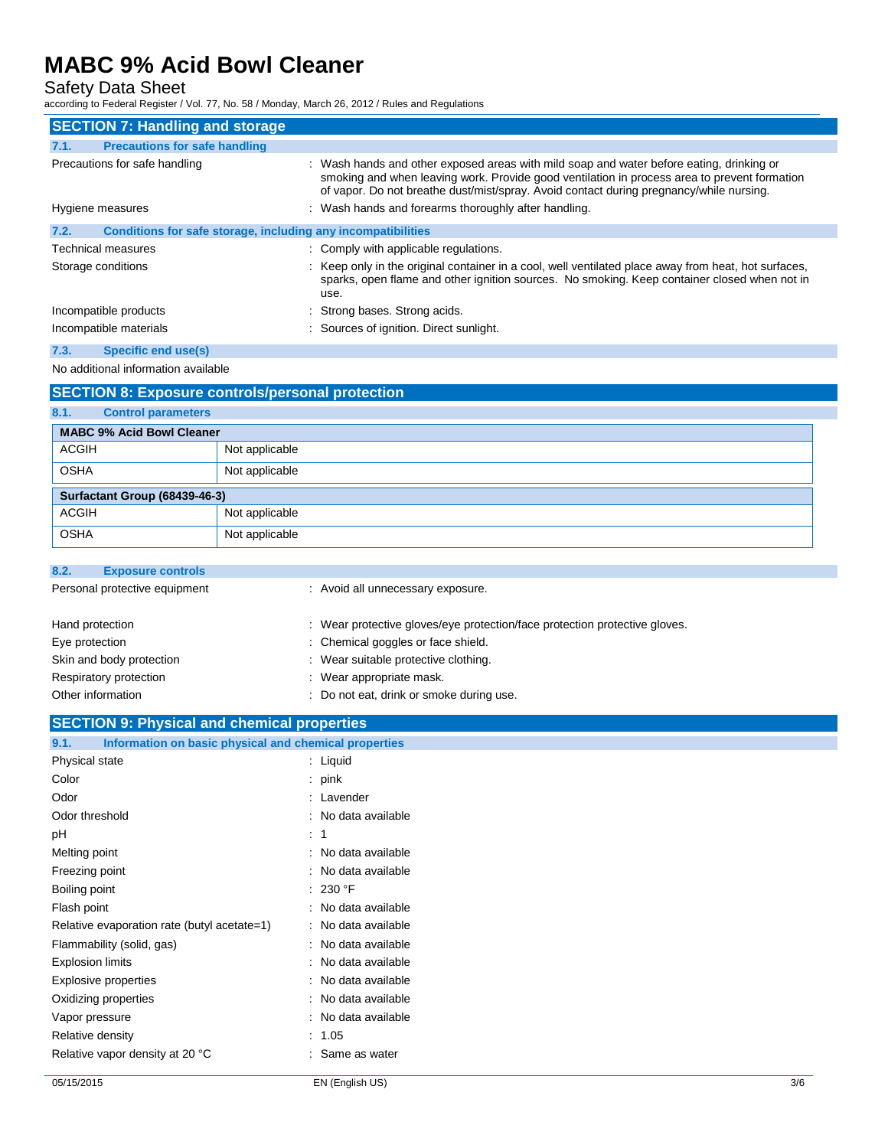Safety Data Sheet

according to Federal Register / Vol. 77, No. 58 / Monday, March 26, 2012 / Rules and Regulations

| <b>SECTION 7: Handling and storage</b>                               |                                                                                                                                                                                                                                                                                     |
|----------------------------------------------------------------------|-------------------------------------------------------------------------------------------------------------------------------------------------------------------------------------------------------------------------------------------------------------------------------------|
| <b>Precautions for safe handling</b><br>7.1.                         |                                                                                                                                                                                                                                                                                     |
| Precautions for safe handling                                        | : Wash hands and other exposed areas with mild soap and water before eating, drinking or<br>smoking and when leaving work. Provide good ventilation in process area to prevent formation<br>of vapor. Do not breathe dust/mist/spray. Avoid contact during pregnancy/while nursing. |
| Hygiene measures                                                     | : Wash hands and forearms thoroughly after handling.                                                                                                                                                                                                                                |
| Conditions for safe storage, including any incompatibilities<br>7.2. |                                                                                                                                                                                                                                                                                     |
| Technical measures                                                   | : Comply with applicable regulations.                                                                                                                                                                                                                                               |
| Storage conditions                                                   | : Keep only in the original container in a cool, well ventilated place away from heat, hot surfaces,<br>sparks, open flame and other ignition sources. No smoking. Keep container closed when not in<br>use.                                                                        |
| Incompatible products                                                | : Strong bases. Strong acids.                                                                                                                                                                                                                                                       |
| Incompatible materials                                               | : Sources of ignition. Direct sunlight.                                                                                                                                                                                                                                             |

## **7.3. Specific end use(s)**

No additional information available

|                                   | <b>SECTION 8: Exposure controls/personal protection</b> |
|-----------------------------------|---------------------------------------------------------|
| 8.1.<br><b>Control parameters</b> |                                                         |
| <b>MABC 9% Acid Bowl Cleaner</b>  |                                                         |
| <b>ACGIH</b>                      | Not applicable                                          |
| <b>OSHA</b>                       | Not applicable                                          |
| Surfactant Group (68439-46-3)     |                                                         |
| <b>ACGIH</b>                      | Not applicable                                          |
| <b>OSHA</b>                       | Not applicable                                          |

| 8.2.<br><b>Exposure controls</b> |                                                                            |
|----------------------------------|----------------------------------------------------------------------------|
| Personal protective equipment    | : Avoid all unnecessary exposure.                                          |
| Hand protection                  | : Wear protective gloves/eye protection/face protection protective gloves. |
| Eye protection                   | : Chemical goggles or face shield.                                         |
| Skin and body protection         | : Wear suitable protective clothing.                                       |
| Respiratory protection           | : Wear appropriate mask.                                                   |
| Other information                | : Do not eat, drink or smoke during use.                                   |

## **SECTION 9: Physical and chemical properties**

| Information on basic physical and chemical properties<br>9.1. |                     |
|---------------------------------------------------------------|---------------------|
| Physical state                                                | : Liquid            |
| Color                                                         | pink                |
| Odor                                                          | : Lavender          |
| Odor threshold                                                | No data available   |
| рH                                                            | 1<br>÷.             |
| Melting point                                                 | No data available   |
| Freezing point                                                | No data available   |
| Boiling point                                                 | : 230 °F            |
| Flash point                                                   | No data available   |
| Relative evaporation rate (butyl acetate=1)                   | No data available   |
| Flammability (solid, gas)                                     | No data available   |
| <b>Explosion limits</b>                                       | : No data available |
| Explosive properties                                          | No data available   |
| Oxidizing properties                                          | No data available   |
| Vapor pressure                                                | No data available   |
| Relative density                                              | 1.05                |
| Relative vapor density at 20 °C                               | : Same as water     |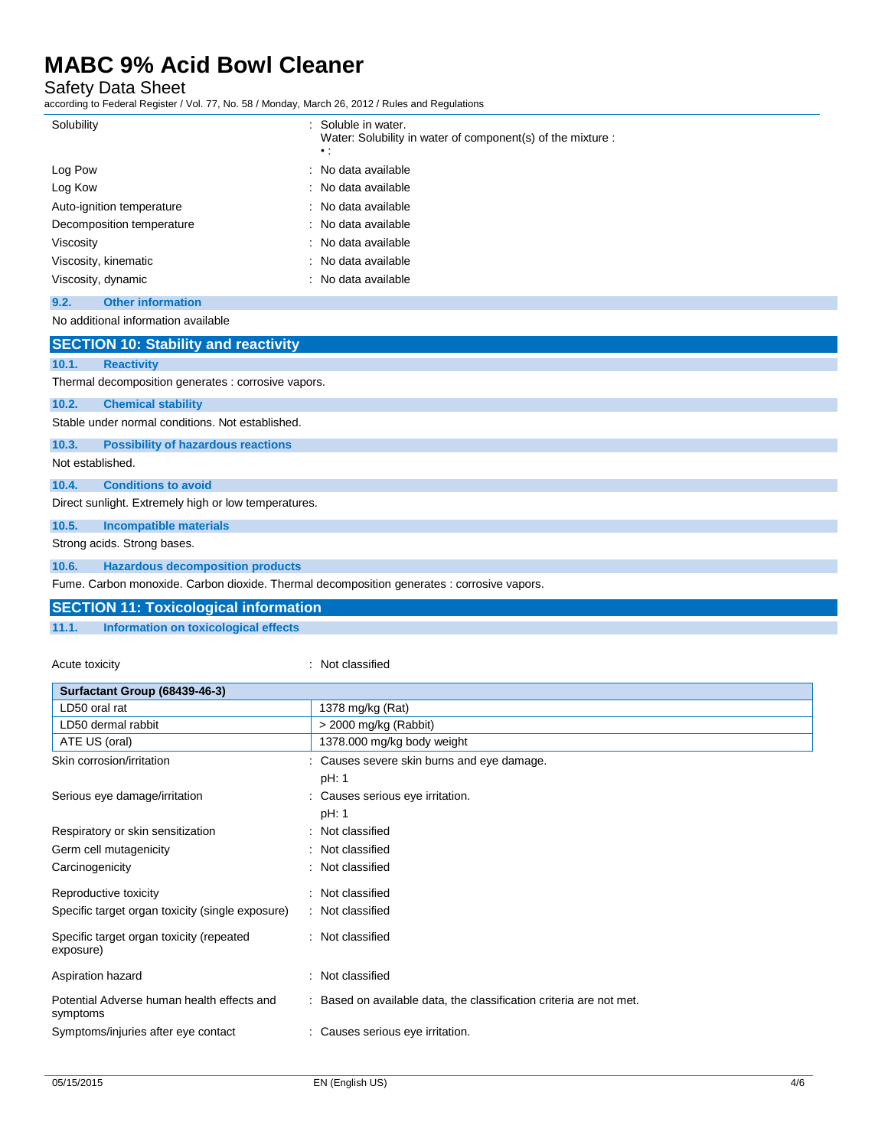Safety Data Sheet

according to Federal Register / Vol. 77, No. 58 / Monday, March 26, 2012 / Rules and Regulations

| Solubility                | : Soluble in water.<br>Water: Solubility in water of component(s) of the mixture :<br>$\cdot$ : |
|---------------------------|-------------------------------------------------------------------------------------------------|
| Log Pow                   | : No data available                                                                             |
| Log Kow                   | : No data available                                                                             |
| Auto-ignition temperature | : No data available                                                                             |
| Decomposition temperature | : No data available                                                                             |
| Viscosity                 | : No data available                                                                             |
| Viscosity, kinematic      | : No data available                                                                             |
| Viscosity, dynamic        | : No data available                                                                             |

## **9.2. Other information**

No additional information available

| <b>SECTION 10: Stability and reactivity</b>          |
|------------------------------------------------------|
| <b>Reactivity</b>                                    |
| Thermal decomposition generates : corrosive vapors.  |
| <b>Chemical stability</b>                            |
| Stable under normal conditions. Not established.     |
| <b>Possibility of hazardous reactions</b>            |
| Not established.                                     |
| <b>Conditions to avoid</b>                           |
| Direct sunlight. Extremely high or low temperatures. |
| Incompatible materials                               |
| Strong acids. Strong bases.                          |
| <b>Hazardous decomposition products</b>              |
|                                                      |

Fume. Carbon monoxide. Carbon dioxide. Thermal decomposition generates : corrosive vapors.

## **SECTION 11: Toxicological information 11.1. Information on toxicological effects**

## Acute toxicity **in the case of the contract of the contract of the contract of the contract of the contract of the contract of the contract of the contract of the contract of the contract of the contract of the contract of**

| Surfactant Group (68439-46-3)                          |                                                                     |
|--------------------------------------------------------|---------------------------------------------------------------------|
| LD50 oral rat                                          | 1378 mg/kg (Rat)                                                    |
| LD50 dermal rabbit                                     | $>$ 2000 mg/kg (Rabbit)                                             |
| ATE US (oral)                                          | 1378.000 mg/kg body weight                                          |
| Skin corrosion/irritation                              | : Causes severe skin burns and eye damage.                          |
|                                                        | pH: 1                                                               |
| Serious eye damage/irritation                          | : Causes serious eye irritation.                                    |
|                                                        | pH: 1                                                               |
| Respiratory or skin sensitization                      | : Not classified                                                    |
| Germ cell mutagenicity                                 | : Not classified                                                    |
| Carcinogenicity                                        | : Not classified                                                    |
| Reproductive toxicity                                  | : Not classified                                                    |
| Specific target organ toxicity (single exposure)       | : Not classified                                                    |
| Specific target organ toxicity (repeated<br>exposure)  | : Not classified                                                    |
| Aspiration hazard                                      | : Not classified                                                    |
| Potential Adverse human health effects and<br>symptoms | : Based on available data, the classification criteria are not met. |
| Symptoms/injuries after eye contact                    | : Causes serious eye irritation.                                    |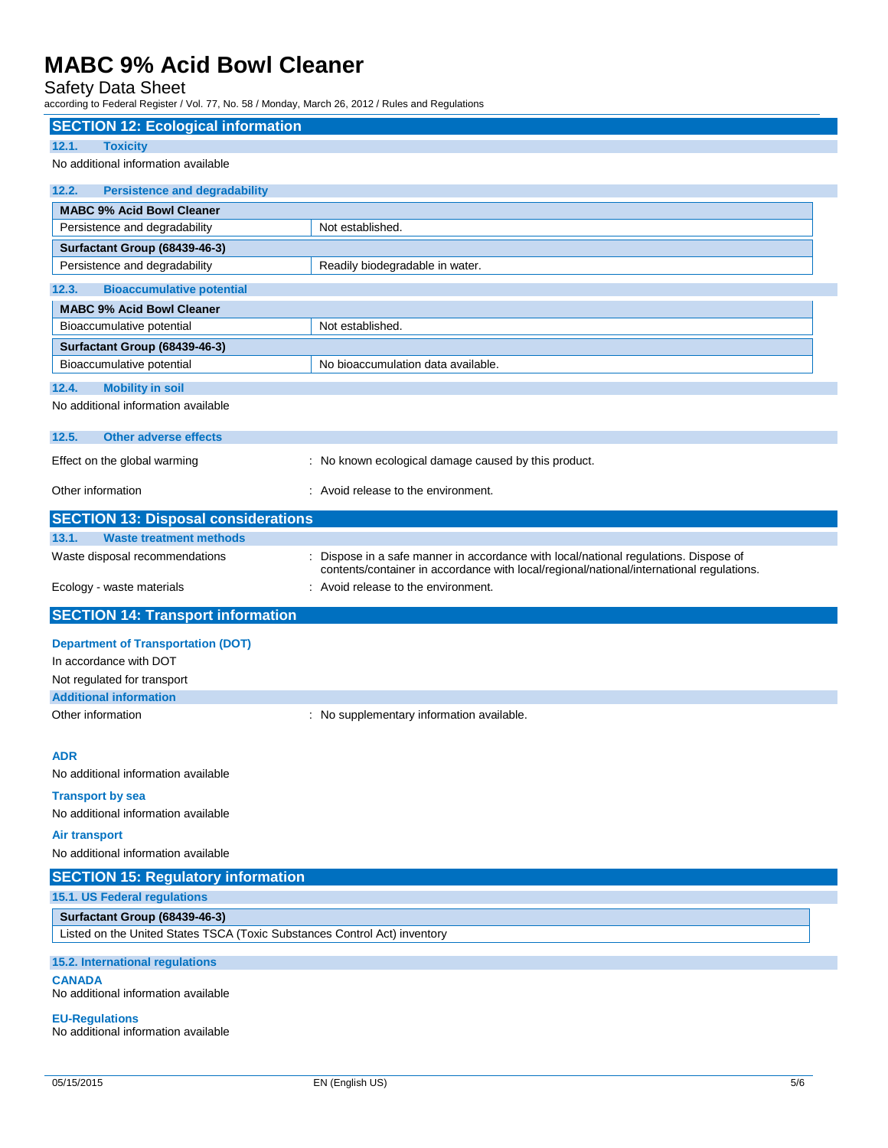## Safety Data Sheet

according to Federal Register / Vol. 77, No. 58 / Monday, March 26, 2012 / Rules and Regulations

| <b>SECTION 12: Ecological information</b>                                                                  |                                                                                                                                                                                  |
|------------------------------------------------------------------------------------------------------------|----------------------------------------------------------------------------------------------------------------------------------------------------------------------------------|
| 12.1.<br><b>Toxicity</b>                                                                                   |                                                                                                                                                                                  |
| No additional information available                                                                        |                                                                                                                                                                                  |
| 12.2.<br><b>Persistence and degradability</b>                                                              |                                                                                                                                                                                  |
| <b>MABC 9% Acid Bowl Cleaner</b>                                                                           |                                                                                                                                                                                  |
| Persistence and degradability                                                                              | Not established.                                                                                                                                                                 |
| Surfactant Group (68439-46-3)                                                                              |                                                                                                                                                                                  |
| Persistence and degradability                                                                              | Readily biodegradable in water.                                                                                                                                                  |
| 12.3.<br><b>Bioaccumulative potential</b>                                                                  |                                                                                                                                                                                  |
| <b>MABC 9% Acid Bowl Cleaner</b>                                                                           |                                                                                                                                                                                  |
| Bioaccumulative potential                                                                                  | Not established.                                                                                                                                                                 |
| Surfactant Group (68439-46-3)                                                                              |                                                                                                                                                                                  |
| Bioaccumulative potential                                                                                  | No bioaccumulation data available.                                                                                                                                               |
| 12.4.<br><b>Mobility in soil</b>                                                                           |                                                                                                                                                                                  |
| No additional information available                                                                        |                                                                                                                                                                                  |
| 12.5.<br><b>Other adverse effects</b>                                                                      |                                                                                                                                                                                  |
| Effect on the global warming                                                                               | : No known ecological damage caused by this product.                                                                                                                             |
| Other information                                                                                          | : Avoid release to the environment.                                                                                                                                              |
| <b>SECTION 13: Disposal considerations</b>                                                                 |                                                                                                                                                                                  |
| 13.1.<br><b>Waste treatment methods</b>                                                                    |                                                                                                                                                                                  |
| Waste disposal recommendations                                                                             | : Dispose in a safe manner in accordance with local/national regulations. Dispose of<br>contents/container in accordance with local/regional/national/international regulations. |
|                                                                                                            | : Avoid release to the environment.                                                                                                                                              |
| Ecology - waste materials                                                                                  |                                                                                                                                                                                  |
| <b>SECTION 14: Transport information</b>                                                                   |                                                                                                                                                                                  |
| <b>Department of Transportation (DOT)</b>                                                                  |                                                                                                                                                                                  |
| In accordance with DOT                                                                                     |                                                                                                                                                                                  |
| Not regulated for transport                                                                                |                                                                                                                                                                                  |
| <b>Additional information</b>                                                                              |                                                                                                                                                                                  |
| Other information                                                                                          | : No supplementary information available.                                                                                                                                        |
| <b>ADR</b>                                                                                                 |                                                                                                                                                                                  |
| No additional information available                                                                        |                                                                                                                                                                                  |
| <b>Transport by sea</b>                                                                                    |                                                                                                                                                                                  |
| No additional information available                                                                        |                                                                                                                                                                                  |
| <b>Air transport</b>                                                                                       |                                                                                                                                                                                  |
| No additional information available                                                                        |                                                                                                                                                                                  |
| <b>SECTION 15: Regulatory information</b><br>15.1. US Federal regulations                                  |                                                                                                                                                                                  |
|                                                                                                            |                                                                                                                                                                                  |
| Surfactant Group (68439-46-3)<br>Listed on the United States TSCA (Toxic Substances Control Act) inventory |                                                                                                                                                                                  |
| 15.2. International regulations                                                                            |                                                                                                                                                                                  |
| <b>CANADA</b><br>No additional information available                                                       |                                                                                                                                                                                  |